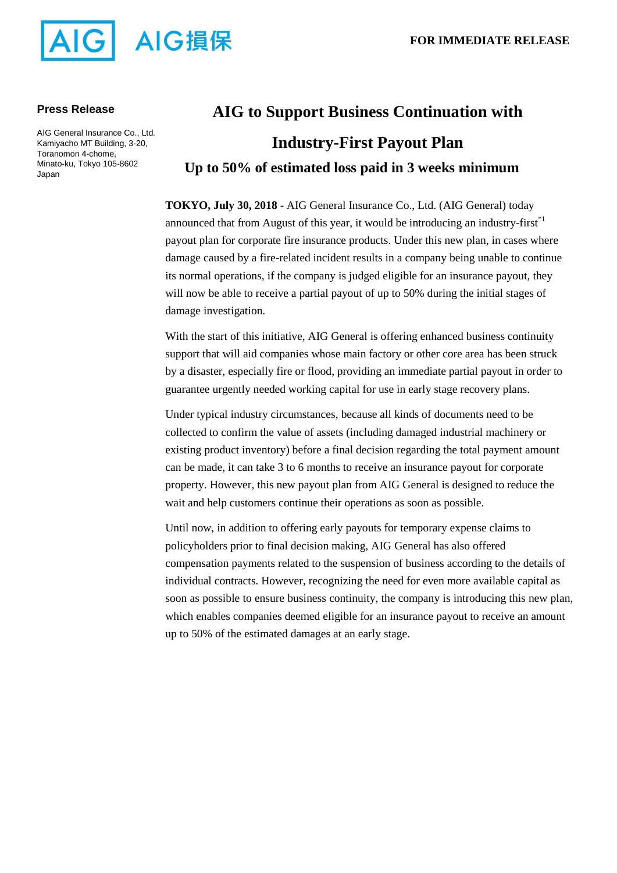

### **Press Release**

AIG General Insurance Co., Ltd. Kamiyacho MT Building, 3-20, Toranomon 4-chome, Minato-ku, Tokyo 105-8602 Japan

# **AIG to Support Business Continuation with Industry-First Payout Plan Up to 50% of estimated loss paid in 3 weeks minimum**

**TOKYO, July 30, 2018** - AIG General Insurance Co., Ltd. (AIG General) today announced that from August of this year, it would be introducing an industry-first<sup> $*1$ </sup> payout plan for corporate fire insurance products. Under this new plan, in cases where damage caused by a fire-related incident results in a company being unable to continue its normal operations, if the company is judged eligible for an insurance payout, they will now be able to receive a partial payout of up to 50% during the initial stages of damage investigation.

With the start of this initiative, AIG General is offering enhanced business continuity support that will aid companies whose main factory or other core area has been struck by a disaster, especially fire or flood, providing an immediate partial payout in order to guarantee urgently needed working capital for use in early stage recovery plans.

Under typical industry circumstances, because all kinds of documents need to be collected to confirm the value of assets (including damaged industrial machinery or existing product inventory) before a final decision regarding the total payment amount can be made, it can take 3 to 6 months to receive an insurance payout for corporate property. However, this new payout plan from AIG General is designed to reduce the wait and help customers continue their operations as soon as possible.

Until now, in addition to offering early payouts for temporary expense claims to policyholders prior to final decision making, AIG General has also offered compensation payments related to the suspension of business according to the details of individual contracts. However, recognizing the need for even more available capital as soon as possible to ensure business continuity, the company is introducing this new plan, which enables companies deemed eligible for an insurance payout to receive an amount up to 50% of the estimated damages at an early stage.